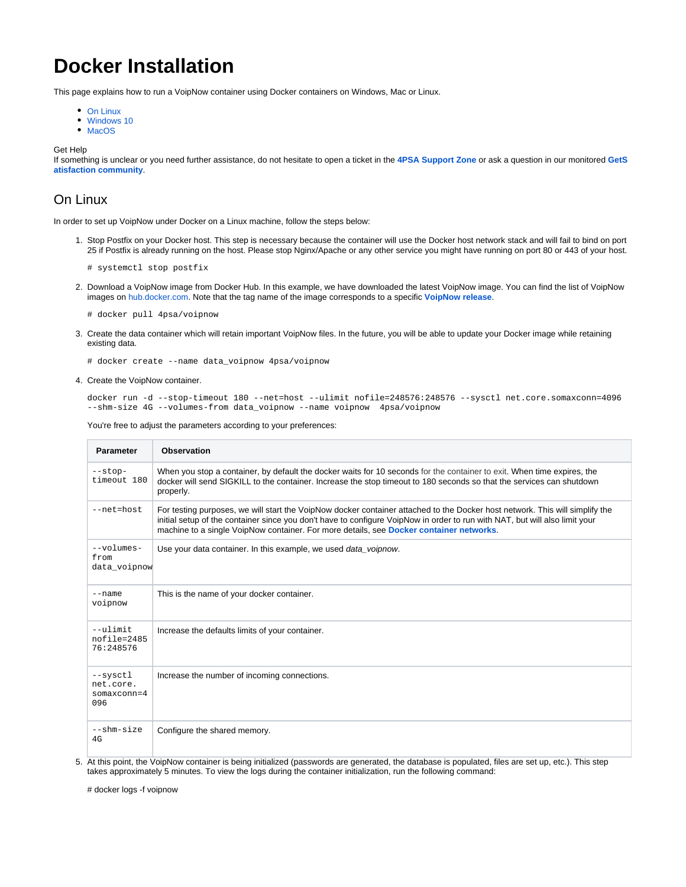# **Docker Installation**

This page explains how to run a VoipNow container using Docker containers on Windows, Mac or Linux.

- [On Linux](#page-0-0)
- [Windows 10](#page-1-0)
- [MacOS](#page-3-0)

Get Help

If something is unclear or you need further assistance, do not hesitate to open a ticket in the **[4PSA Support Zone](http://help.4psa.com/)** or ask a question in our monitored **[GetS](http://my.4psa.com/) [atisfaction community](http://my.4psa.com/)**.

### <span id="page-0-0"></span>On Linux

In order to set up VoipNow under Docker on a Linux machine, follow the steps below:

1. Stop Postfix on your Docker host. This step is necessary because the container will use the Docker host network stack and will fail to bind on port 25 if Postfix is already running on the host. Please stop Nginx/Apache or any other service you might have running on port 80 or 443 of your host.

```
# systemctl stop postfix
```
- 2. Download a VoipNow image from Docker Hub. In this example, we have downloaded the latest VoipNow image. You can find the list of VoipNow images on [hub.docker.com](https://hub.docker.com/r/4psa/voipnow/tags/). Note that the tag name of the image corresponds to a specific **[VoipNow release](https://wiki.4psa.com/display/VNDOCS30/Release+Notes)**.
	- # docker pull 4psa/voipnow
- 3. Create the data container which will retain important VoipNow files. In the future, you will be able to update your Docker image while retaining existing data.

# docker create --name data\_voipnow 4psa/voipnow

4. Create the VoipNow container.

docker run -d --stop-timeout 180 --net=host --ulimit nofile=248576:248576 --sysctl net.core.somaxconn=4096 --shm-size 4G --volumes-from data\_voipnow --name voipnow 4psa/voipnow

You're free to adjust the parameters according to your preferences:

| <b>Parameter</b>                              | <b>Observation</b>                                                                                                                                                                                                                                                                                                                                     |
|-----------------------------------------------|--------------------------------------------------------------------------------------------------------------------------------------------------------------------------------------------------------------------------------------------------------------------------------------------------------------------------------------------------------|
| $--stop-$<br>timeout 180                      | When you stop a container, by default the docker waits for 10 seconds for the container to exit. When time expires, the<br>docker will send SIGKILL to the container. Increase the stop timeout to 180 seconds so that the services can shutdown<br>properly.                                                                                          |
| $--net=host$                                  | For testing purposes, we will start the VoipNow docker container attached to the Docker host network. This will simplify the<br>initial setup of the container since you don't have to configure VoipNow in order to run with NAT, but will also limit your<br>machine to a single VoipNow container. For more details, see Docker container networks. |
| $--volumes-$<br>from<br>data voipnow          | Use your data container. In this example, we used data_voipnow.                                                                                                                                                                                                                                                                                        |
| $-$ -name<br>voipnow                          | This is the name of your docker container.                                                                                                                                                                                                                                                                                                             |
| $--$ ulimit<br>nofile=2485<br>76:248576       | Increase the defaults limits of your container.                                                                                                                                                                                                                                                                                                        |
| --sysctl<br>net.core.<br>$somaxconn=4$<br>096 | Increase the number of incoming connections.                                                                                                                                                                                                                                                                                                           |
| --shm-size<br>4G                              | Configure the shared memory.                                                                                                                                                                                                                                                                                                                           |

5. At this point, the VoipNow container is being initialized (passwords are generated, the database is populated, files are set up, etc.). This step takes approximately 5 minutes. To view the logs during the container initialization, run the following command:

# docker logs -f voipnow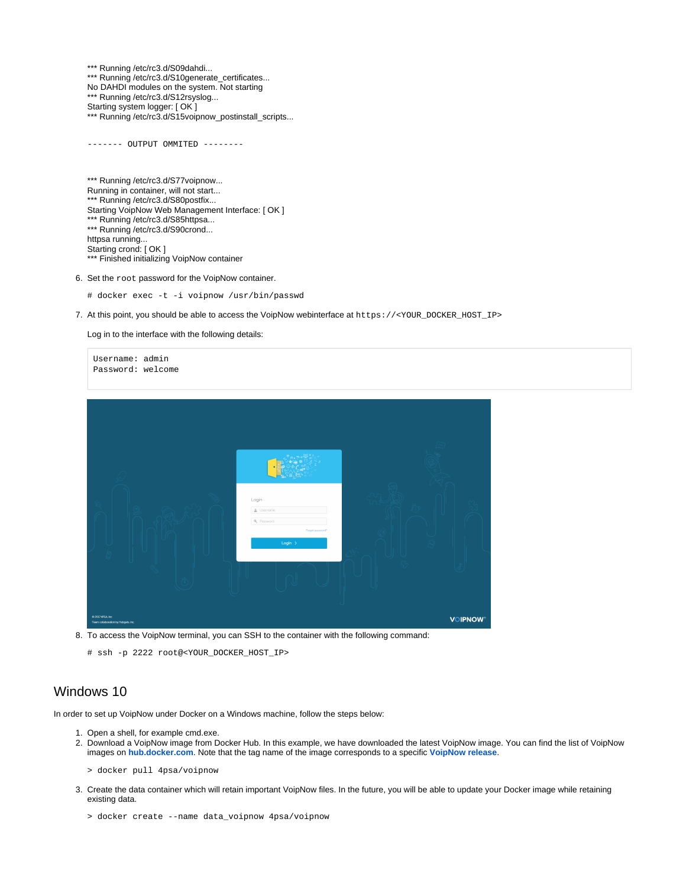\*\*\* Running /etc/rc3.d/S09dahdi... \*\*\* Running /etc/rc3.d/S10generate\_certificates... No DAHDI modules on the system. Not starting \*\*\* Running /etc/rc3.d/S12rsyslog... Starting system logger: [ OK ] \*\*\* Running /etc/rc3.d/S15voipnow\_postinstall\_scripts...

------- OUTPUT OMMITED --------

\*\*\* Running /etc/rc3.d/S77voipnow... Running in container, will not start... \*\*\* Running /etc/rc3.d/S80postfix... Starting VoipNow Web Management Interface: [ OK ] \*\*\* Running /etc/rc3.d/S85httpsa... \*\*\* Running /etc/rc3.d/S90crond... httpsa running... Starting crond: [ OK ] \*\*\* Finished initializing VoipNow container

6. Set the root password for the VoipNow container.

- # docker exec -t -i voipnow /usr/bin/passwd
- 7. At this point, you should be able to access the VoipNow webinterface at https://<YOUR\_DOCKER\_HOST\_IP>

Log in to the interface with the following details:

| Username: admin<br>Password: welcome                     |                                                                  |
|----------------------------------------------------------|------------------------------------------------------------------|
|                                                          | Login<br>L Username<br>Q Password<br>Forgot password?<br>Login > |
| 0.2017 4PSA, Inc.<br>Team collaboration by Hubgets, Inc. | <b>VOIPNOW®</b>                                                  |

8. To access the VoipNow terminal, you can SSH to the container with the following command:

# ssh -p 2222 root@<YOUR\_DOCKER\_HOST\_IP>

### <span id="page-1-0"></span>Windows 10

In order to set up VoipNow under Docker on a Windows machine, follow the steps below:

- 1. Open a shell, for example cmd.exe.
- 2. Download a VoipNow image from Docker Hub. In this example, we have downloaded the latest VoipNow image. You can find the list of VoipNow images on **[hub.docker.com](https://hub.docker.com/r/4psa/voipnow/tags/)**. Note that the tag name of the image corresponds to a specific **[VoipNow release](https://wiki.4psa.com/display/VNDOCS30/Release+Notes)**.
	- > docker pull 4psa/voipnow
- 3. Create the data container which will retain important VoipNow files. In the future, you will be able to update your Docker image while retaining existing data.
	- > docker create --name data\_voipnow 4psa/voipnow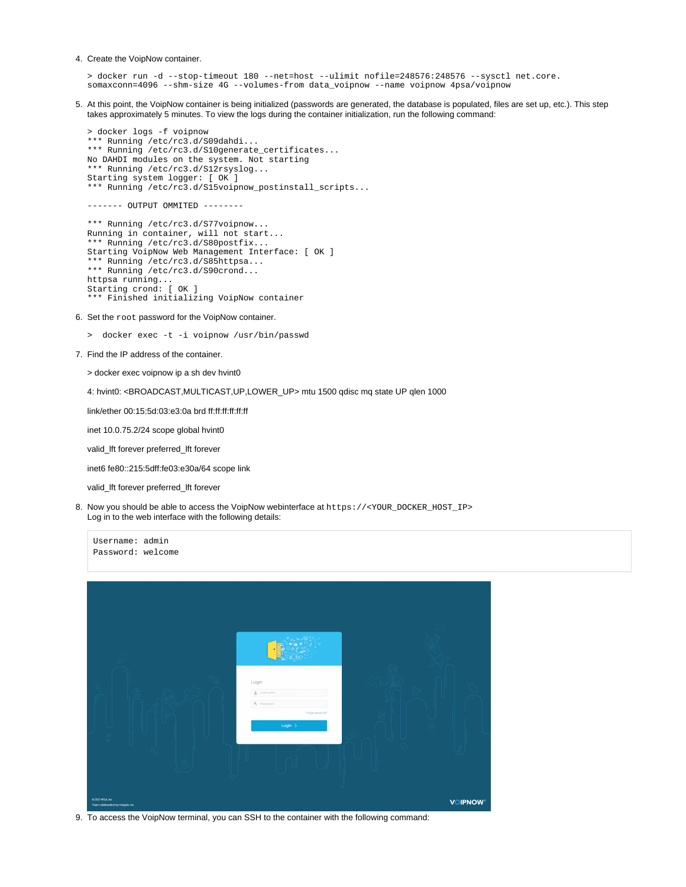#### 4. Create the VoipNow container.

> docker run -d --stop-timeout 180 --net=host --ulimit nofile=248576:248576 --sysctl net.core. somaxconn=4096 --shm-size 4G --volumes-from data\_voipnow --name voipnow 4psa/voipnow

5. At this point, the VoipNow container is being initialized (passwords are generated, the database is populated, files are set up, etc.). This step takes approximately 5 minutes. To view the logs during the container initialization, run the following command:

```
> docker logs -f voipnow
*** Running /etc/rc3.d/S09dahdi...
*** Running /etc/rc3.d/S10generate_certificates...
No DAHDI modules on the system. Not starting
*** Running /etc/rc3.d/S12rsyslog...
Starting system logger: [ OK ]
*** Running /etc/rc3.d/S15voipnow_postinstall_scripts...
```
 $------$  OUTPUT OMMITED  $------$ 

```
*** Running /etc/rc3.d/S77voipnow...
Running in container, will not start...
*** Running /etc/rc3.d/S80postfix...
Starting VoipNow Web Management Interface: [ OK ]
*** Running /etc/rc3.d/S85httpsa...
*** Running /etc/rc3.d/S90crond...
httpsa running..
Starting crond: [ OK ]
*** Finished initializing VoipNow container
```
- 6. Set the root password for the VoipNow container.
	- > docker exec -t -i voipnow /usr/bin/passwd
- 7. Find the IP address of the container.

> docker exec voipnow ip a sh dev hvint0

4: hvint0: <BROADCAST, MULTICAST, UP, LOWER\_UP> mtu 1500 qdisc mq state UP qlen 1000

link/ether 00:15:5d:03:e3:0a brd ff:ff:ff:ff:ff:ff:ff

inet 10.0.75.2/24 scope global hvint0

valid\_lft forever preferred\_lft forever

inet6 fe80::215:5dff:fe03:e30a/64 scope link

valid\_lft forever preferred\_lft forever

Username: admin

8. Now you should be able to access the VoipNow webinterface at https://<YOUR\_DOCKER\_HOST\_IP> Log in to the web interface with the following details:

| Password: welcome                                                                |                 |
|----------------------------------------------------------------------------------|-----------------|
| Login<br>$n =$ Username<br>Q Password<br>Forgot password?<br>Login $\rightarrow$ |                 |
| 0.2017 4PSA, Inc.<br>Team collaboration by Hubgets, Inc.                         | <b>VOIPNOW®</b> |

9. To access the VoipNow terminal, you can SSH to the container with the following command: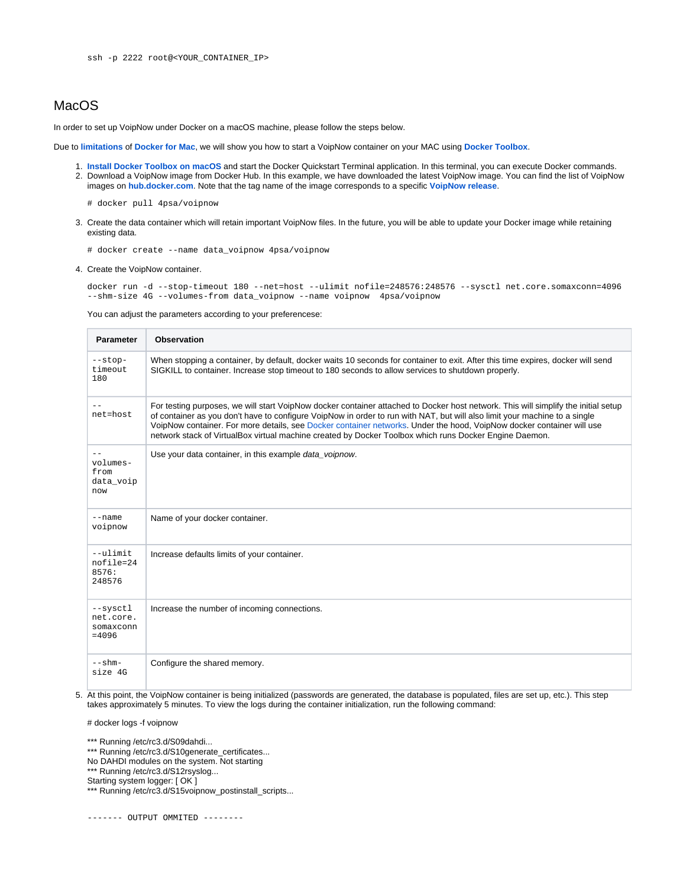## <span id="page-3-0"></span>**MacOS**

In order to set up VoipNow under Docker on a macOS machine, please follow the steps below.

Due to **[limitations](https://docs.docker.com/docker-for-mac/networking/#known-limitations-use-cases-and-workarounds)** of **[Docker for Mac](https://docs.docker.com/docker-for-mac/docker-toolbox/#the-docker-for-mac-environment)**, we will show you how to start a VoipNow container on your MAC using **[Docker Toolbox](https://docs.docker.com/toolbox/toolbox_install_mac/)**.

- 1. **[Install Docker Toolbox on macOS](https://docs.docker.com/toolbox/toolbox_install_mac/)** and start the Docker Quickstart Terminal application. In this terminal, you can execute Docker commands.
- 2. Download a VoipNow image from Docker Hub. In this example, we have downloaded the latest VoipNow image. You can find the list of VoipNow images on **[hub.docker.com](https://hub.docker.com/r/4psa/voipnow/tags/)**. Note that the tag name of the image corresponds to a specific **[VoipNow release](https://wiki.4psa.com/display/VNDOCS30/Release+Notes)**.
	- # docker pull 4psa/voipnow
- 3. Create the data container which will retain important VoipNow files. In the future, you will be able to update your Docker image while retaining existing data.
	- # docker create --name data\_voipnow 4psa/voipnow
- 4. Create the VoipNow container.

docker run -d --stop-timeout 180 --net=host --ulimit nofile=248576:248576 --sysctl net.core.somaxconn=4096 --shm-size 4G --volumes-from data\_voipnow --name voipnow 4psa/voipnow

You can adjust the parameters according to your preferencese:

| <b>Parameter</b>                               | <b>Observation</b>                                                                                                                                                                                                                                                                                                                                                                                                                                                                                  |
|------------------------------------------------|-----------------------------------------------------------------------------------------------------------------------------------------------------------------------------------------------------------------------------------------------------------------------------------------------------------------------------------------------------------------------------------------------------------------------------------------------------------------------------------------------------|
| $-$ stop-<br>timeout<br>180                    | When stopping a container, by default, docker waits 10 seconds for container to exit. After this time expires, docker will send<br>SIGKILL to container. Increase stop timeout to 180 seconds to allow services to shutdown properly.                                                                                                                                                                                                                                                               |
| net=host                                       | For testing purposes, we will start VoipNow docker container attached to Docker host network. This will simplify the initial setup<br>of container as you don't have to configure VoipNow in order to run with NAT, but will also limit your machine to a single<br>VoipNow container. For more details, see Docker container networks. Under the hood, VoipNow docker container will use<br>network stack of VirtualBox virtual machine created by Docker Toolbox which runs Docker Engine Daemon. |
| volumes-<br>from<br>data_voip<br>now           | Use your data container, in this example data_voipnow.                                                                                                                                                                                                                                                                                                                                                                                                                                              |
| $-$ -name<br>voipnow                           | Name of your docker container.                                                                                                                                                                                                                                                                                                                                                                                                                                                                      |
| $--$ ulimit<br>nofile=24<br>8576:<br>248576    | Increase defaults limits of your container.                                                                                                                                                                                                                                                                                                                                                                                                                                                         |
| --sysctl<br>net.core.<br>somaxconn<br>$= 4096$ | Increase the number of incoming connections.                                                                                                                                                                                                                                                                                                                                                                                                                                                        |
| $--$ shm $-$<br>size 4G                        | Configure the shared memory.                                                                                                                                                                                                                                                                                                                                                                                                                                                                        |

5. At this point, the VoipNow container is being initialized (passwords are generated, the database is populated, files are set up, etc.). This step takes approximately 5 minutes. To view the logs during the container initialization, run the following command:

# docker logs -f voipnow

- \*\*\* Running /etc/rc3.d/S10generate\_certificates...
- No DAHDI modules on the system. Not starting
- \*\*\* Running /etc/rc3.d/S12rsyslog...
- Starting system logger: [ OK ]

<sup>\*\*\*</sup> Running /etc/rc3.d/S09dahdi...

<sup>\*\*\*</sup> Running /etc/rc3.d/S15voipnow\_postinstall\_scripts...

<sup>-------</sup> OUTPUT OMMITED --------